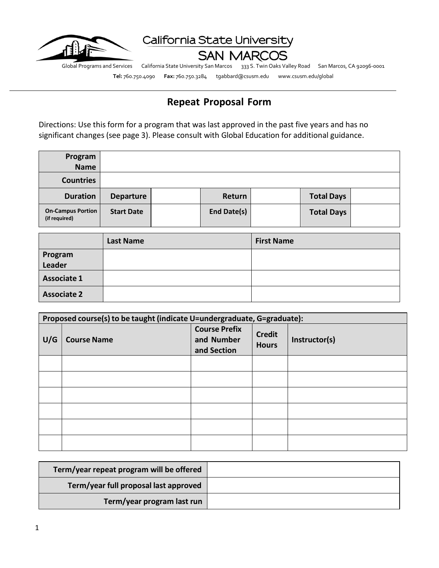

California State University

**SAN MARCOS** 

Global Programs and Services California State University San Marcos 333 S. Twin Oaks Valley Road San Marcos, CA 92096-0001

**Tel:** 760.750.4090 **Fax:** 760.750.3284 tgabbard@csusm.edu www.csusm.edu/global

# **Repeat Proposal Form**

Directions: Use this form for a program that was last approved in the past five years and has no significant changes (see page 3). Please consult with Global Education for additional guidance.

| Program                                   |                   |             |                   |  |
|-------------------------------------------|-------------------|-------------|-------------------|--|
| <b>Name</b>                               |                   |             |                   |  |
| <b>Countries</b>                          |                   |             |                   |  |
| <b>Duration</b>                           | <b>Departure</b>  | Return      | <b>Total Days</b> |  |
| <b>On-Campus Portion</b><br>(if required) | <b>Start Date</b> | End Date(s) | <b>Total Days</b> |  |

|                    | <b>Last Name</b> | <b>First Name</b> |
|--------------------|------------------|-------------------|
| Program<br>Leader  |                  |                   |
|                    |                  |                   |
| <b>Associate 1</b> |                  |                   |
| <b>Associate 2</b> |                  |                   |

| Proposed course(s) to be taught (indicate U=undergraduate, G=graduate): |                    |                                                   |                               |               |
|-------------------------------------------------------------------------|--------------------|---------------------------------------------------|-------------------------------|---------------|
| U/G                                                                     | <b>Course Name</b> | <b>Course Prefix</b><br>and Number<br>and Section | <b>Credit</b><br><b>Hours</b> | Instructor(s) |
|                                                                         |                    |                                                   |                               |               |
|                                                                         |                    |                                                   |                               |               |
|                                                                         |                    |                                                   |                               |               |
|                                                                         |                    |                                                   |                               |               |
|                                                                         |                    |                                                   |                               |               |
|                                                                         |                    |                                                   |                               |               |

| Term/year repeat program will be offered |  |
|------------------------------------------|--|
| Term/year full proposal last approved    |  |
| Term/year program last run               |  |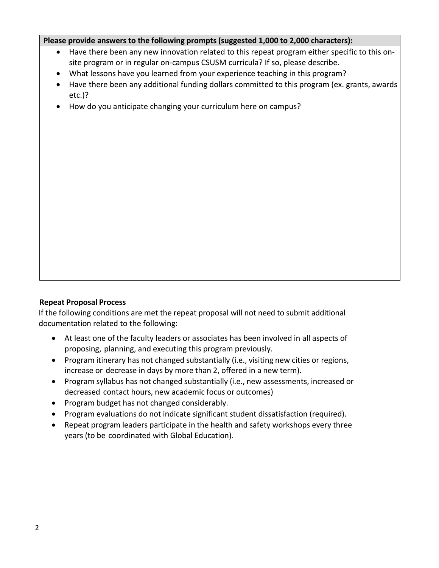#### **Please provide answers to the following prompts(suggested 1,000 to 2,000 characters):**

- Have there been any new innovation related to this repeat program either specific to this onsite program or in regular on-campus CSUSM curricula? If so, please describe.
- What lessons have you learned from your experience teaching in this program?
- Have there been any additional funding dollars committed to this program (ex. grants, awards etc.)?
- How do you anticipate changing your curriculum here on campus?

#### **Repeat Proposal Process**

If the following conditions are met the repeat proposal will not need to submit additional documentation related to the following:

- At least one of the faculty leaders or associates has been involved in all aspects of proposing, planning, and executing this program previously.
- Program itinerary has not changed substantially (i.e., visiting new cities or regions, increase or decrease in days by more than 2, offered in a new term).
- Program syllabus has not changed substantially (i.e., new assessments, increased or decreased contact hours, new academic focus or outcomes)
- Program budget has not changed considerably.
- Program evaluations do not indicate significant student dissatisfaction (required).
- Repeat program leaders participate in the health and safety workshops every three years (to be coordinated with Global Education).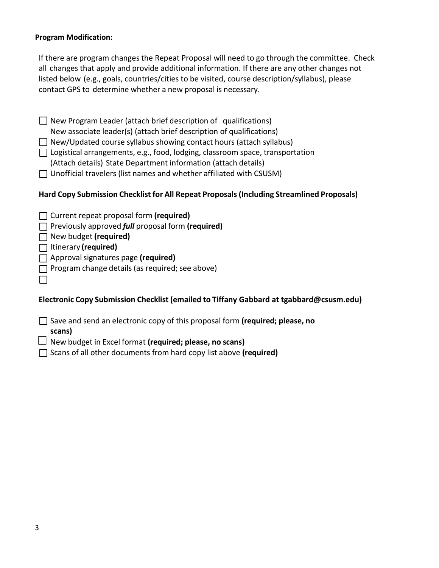#### **Program Modification:**

If there are program changes the Repeat Proposal will need to go through the committee. Check all changes that apply and provide additional information. If there are any other changes not listed below (e.g., goals, countries/cities to be visited, course description/syllabus), please contact GPS to determine whether a new proposal is necessary.

 $\Box$  New Program Leader (attach brief description of qualifications) New associate leader(s) (attach brief description of qualifications)  $\Box$  New/Updated course syllabus showing contact hours (attach syllabus)  $\Box$  Logistical arrangements, e.g., food, lodging, classroom space, transportation (Attach details) State Department information (attach details)  $\Box$  Unofficial travelers (list names and whether affiliated with CSUSM)

### **Hard Copy Submission Checklist for All Repeat Proposals (Including Streamlined Proposals)**

| Current repeat proposal form (required) |  |  |
|-----------------------------------------|--|--|
|-----------------------------------------|--|--|

Previously approved *full* proposal form **(required)**

New budget **(required)**

Itinerary **(required)**

Approvalsignatures page **(required)**

 $\Box$  Program change details (as required; see above)

**Electronic Copy Submission Checklist (emailed to Tiffany Gabbard at tgabbard@csusm.edu)**

Save and send an electronic copy of this proposal form **(required; please, no**

**scans)**

 $\perp$ 

New budget in Excel format **(required; please, no scans)**

Scans of all other documents from hard copy list above **(required)**